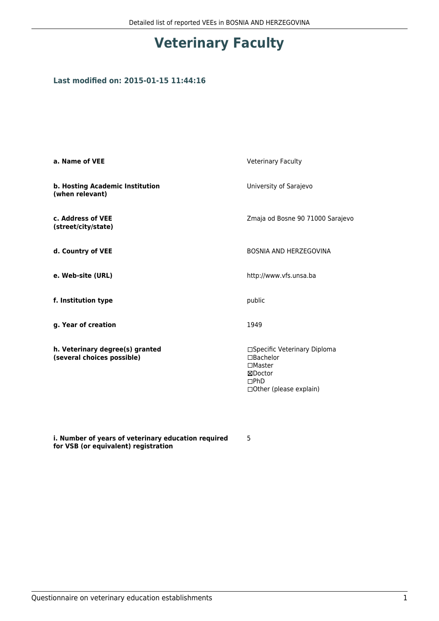## **Veterinary Faculty**

## **Last modified on: 2015-01-15 11:44:16**

| a. Name of VEE                                                | <b>Veterinary Faculty</b>                                                                                               |  |
|---------------------------------------------------------------|-------------------------------------------------------------------------------------------------------------------------|--|
| b. Hosting Academic Institution<br>(when relevant)            | University of Sarajevo                                                                                                  |  |
| c. Address of VEE<br>(street/city/state)                      | Zmaja od Bosne 90 71000 Sarajevo                                                                                        |  |
| d. Country of VEE                                             | <b>BOSNIA AND HERZEGOVINA</b>                                                                                           |  |
| e. Web-site (URL)                                             | http://www.vfs.unsa.ba                                                                                                  |  |
| f. Institution type                                           | public                                                                                                                  |  |
| g. Year of creation                                           | 1949                                                                                                                    |  |
| h. Veterinary degree(s) granted<br>(several choices possible) | □Specific Veterinary Diploma<br>□Bachelor<br>$\square$ Master<br>⊠Doctor<br>$\Box$ PhD<br>$\Box$ Other (please explain) |  |

**i. Number of years of veterinary education required for VSB (or equivalent) registration**

5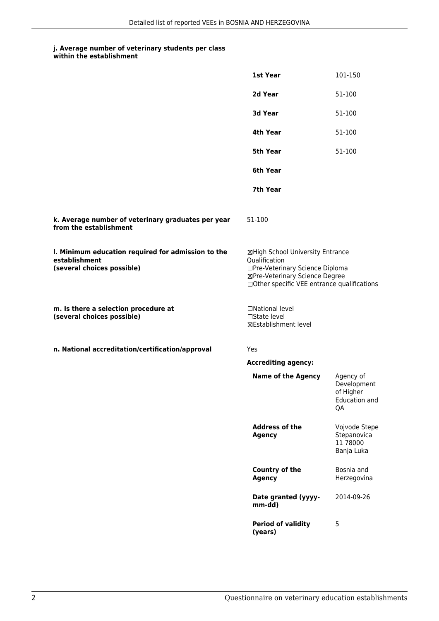## **j. Average number of veterinary students per class**

**within the establishment**

|                                                                                                   | 1st Year                                                                                                                                                              | 101-150                                                      |
|---------------------------------------------------------------------------------------------------|-----------------------------------------------------------------------------------------------------------------------------------------------------------------------|--------------------------------------------------------------|
|                                                                                                   | 2d Year                                                                                                                                                               | 51-100                                                       |
|                                                                                                   | 3d Year                                                                                                                                                               | 51-100                                                       |
|                                                                                                   | 4th Year                                                                                                                                                              | 51-100                                                       |
|                                                                                                   | 5th Year                                                                                                                                                              | 51-100                                                       |
|                                                                                                   | 6th Year                                                                                                                                                              |                                                              |
|                                                                                                   | 7th Year                                                                                                                                                              |                                                              |
| k. Average number of veterinary graduates per year<br>from the establishment                      | 51-100                                                                                                                                                                |                                                              |
| I. Minimum education required for admission to the<br>establishment<br>(several choices possible) | ⊠High School University Entrance<br>Qualification<br>□Pre-Veterinary Science Diploma<br>⊠Pre-Veterinary Science Degree<br>□Other specific VEE entrance qualifications |                                                              |
| m. Is there a selection procedure at<br>(several choices possible)                                | □National level<br>$\Box$ State level<br><b>⊠Establishment level</b>                                                                                                  |                                                              |
| n. National accreditation/certification/approval                                                  | Yes                                                                                                                                                                   |                                                              |
|                                                                                                   | <b>Accrediting agency:</b>                                                                                                                                            |                                                              |
|                                                                                                   | <b>Name of the Agency</b>                                                                                                                                             | Agency of<br>Development<br>of Higher<br>Education and<br>QA |
|                                                                                                   | <b>Address of the</b><br><b>Agency</b>                                                                                                                                | Vojvode Stepe<br>Stepanovica<br>11 78000<br>Banja Luka       |
|                                                                                                   | Country of the<br><b>Agency</b>                                                                                                                                       | Bosnia and<br>Herzegovina                                    |
|                                                                                                   | Date granted (yyyy-<br>mm-dd)                                                                                                                                         | 2014-09-26                                                   |
|                                                                                                   | <b>Period of validity</b><br>(years)                                                                                                                                  | 5                                                            |